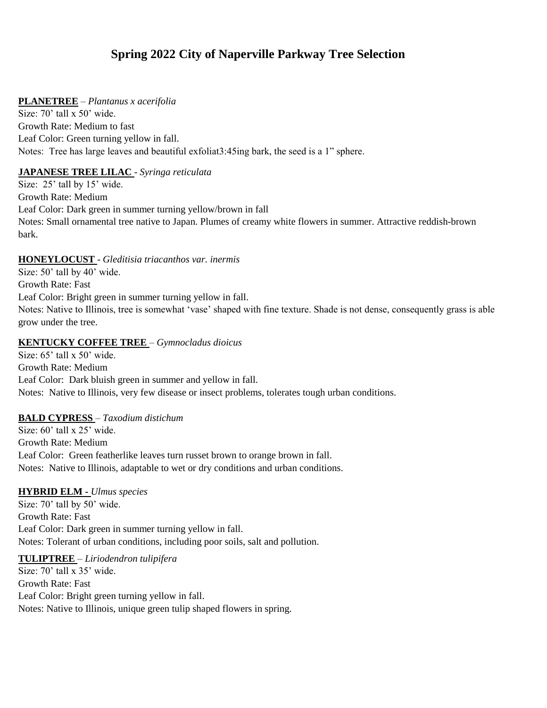# **Spring 2022 City of Naperville Parkway Tree Selection**

#### **PLANETREE** – *Plantanus x acerifolia*

Size: 70' tall x 50' wide. Growth Rate: Medium to fast Leaf Color: Green turning yellow in fall. Notes: Tree has large leaves and beautiful exfoliat3:45ing bark, the seed is a 1" sphere.

## **JAPANESE TREE LILAC** - *Syringa reticulata*

Size: 25' tall by 15' wide. Growth Rate: Medium Leaf Color: Dark green in summer turning yellow/brown in fall Notes: Small ornamental tree native to Japan. Plumes of creamy white flowers in summer. Attractive reddish-brown bark.

## **HONEYLOCUST** - *Gleditisia triacanthos var. inermis*

Size: 50' tall by 40' wide. Growth Rate: Fast Leaf Color: Bright green in summer turning yellow in fall. Notes: Native to Illinois, tree is somewhat 'vase' shaped with fine texture. Shade is not dense, consequently grass is able grow under the tree.

## **KENTUCKY COFFEE TREE** – *Gymnocladus dioicus*

Size: 65' tall x 50' wide. Growth Rate: Medium Leaf Color: Dark bluish green in summer and yellow in fall. Notes: Native to Illinois, very few disease or insect problems, tolerates tough urban conditions.

#### **BALD CYPRESS** – *Taxodium distichum*

Size: 60' tall x 25' wide. Growth Rate: Medium Leaf Color: Green featherlike leaves turn russet brown to orange brown in fall. Notes: Native to Illinois, adaptable to wet or dry conditions and urban conditions.

#### **HYBRID ELM -** *Ulmus species*

Size: 70' tall by 50' wide. Growth Rate: Fast Leaf Color: Dark green in summer turning yellow in fall. Notes: Tolerant of urban conditions, including poor soils, salt and pollution.

#### **TULIPTREE** – *Liriodendron tulipifera*

Size: 70' tall x 35' wide. Growth Rate: Fast Leaf Color: Bright green turning yellow in fall. Notes: Native to Illinois, unique green tulip shaped flowers in spring.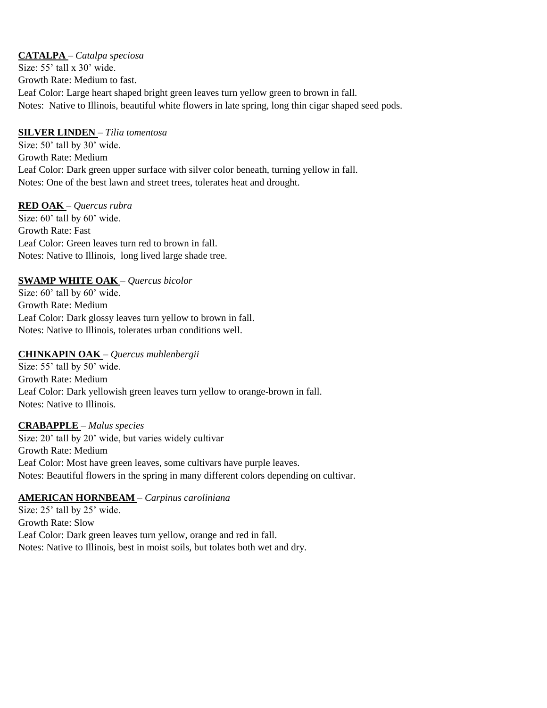**CATALPA** – *Catalpa speciosa* Size: 55' tall x 30' wide. Growth Rate: Medium to fast. Leaf Color: Large heart shaped bright green leaves turn yellow green to brown in fall. Notes: Native to Illinois, beautiful white flowers in late spring, long thin cigar shaped seed pods.

## **SILVER LINDEN** – *Tilia tomentosa*

Size: 50' tall by 30' wide. Growth Rate: Medium Leaf Color: Dark green upper surface with silver color beneath, turning yellow in fall. Notes: One of the best lawn and street trees, tolerates heat and drought.

## **RED OAK** – *Quercus rubra*

Size:  $60'$  tall by  $60'$  wide. Growth Rate: Fast Leaf Color: Green leaves turn red to brown in fall. Notes: Native to Illinois, long lived large shade tree.

## **SWAMP WHITE OAK** – *Quercus bicolor*

Size: 60' tall by 60' wide. Growth Rate: Medium Leaf Color: Dark glossy leaves turn yellow to brown in fall. Notes: Native to Illinois, tolerates urban conditions well.

## **CHINKAPIN OAK** – *Quercus muhlenbergii*

Size: 55' tall by 50' wide. Growth Rate: Medium Leaf Color: Dark yellowish green leaves turn yellow to orange-brown in fall. Notes: Native to Illinois.

#### **CRABAPPLE** – *Malus species*

Size: 20' tall by 20' wide, but varies widely cultivar Growth Rate: Medium Leaf Color: Most have green leaves, some cultivars have purple leaves. Notes: Beautiful flowers in the spring in many different colors depending on cultivar.

#### **AMERICAN HORNBEAM** – *Carpinus caroliniana*

Size: 25' tall by 25' wide. Growth Rate: Slow Leaf Color: Dark green leaves turn yellow, orange and red in fall. Notes: Native to Illinois, best in moist soils, but tolates both wet and dry.